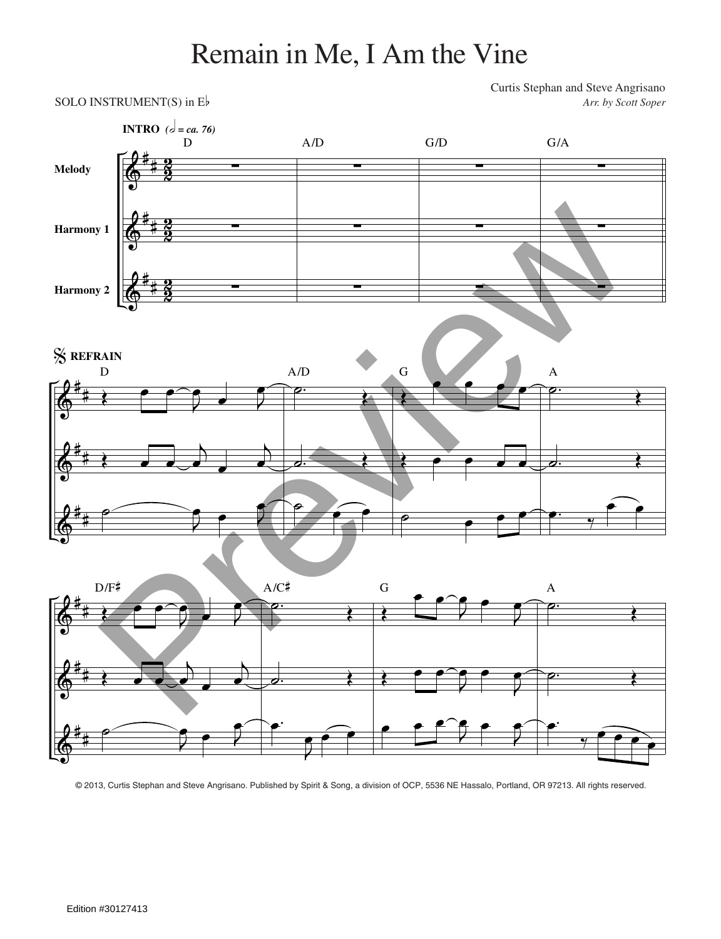## Remain in Me, I Am the Vine

Curtis Stephan and Steve Angrisano SOLO INSTRUMENT(S) in E<sub>p</sub> *Arr. by Scott Soper* 



© 2013, Curtis Stephan and Steve Angrisano. Published by Spirit & Song, a division of OCP, 5536 NE Hassalo, Portland, OR 97213. All rights reserved.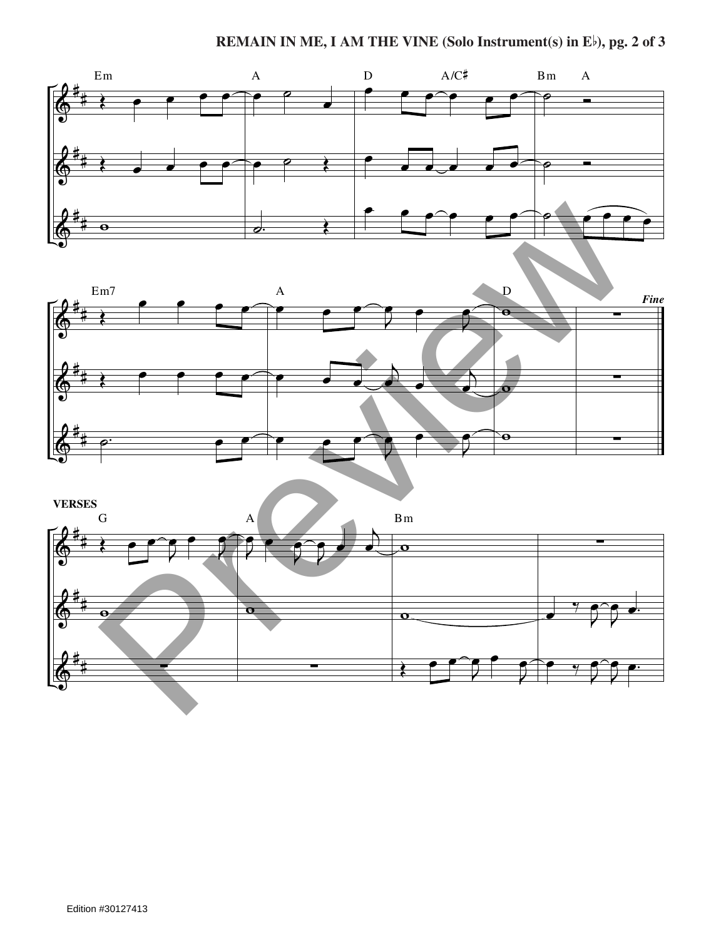



![](_page_1_Figure_3.jpeg)